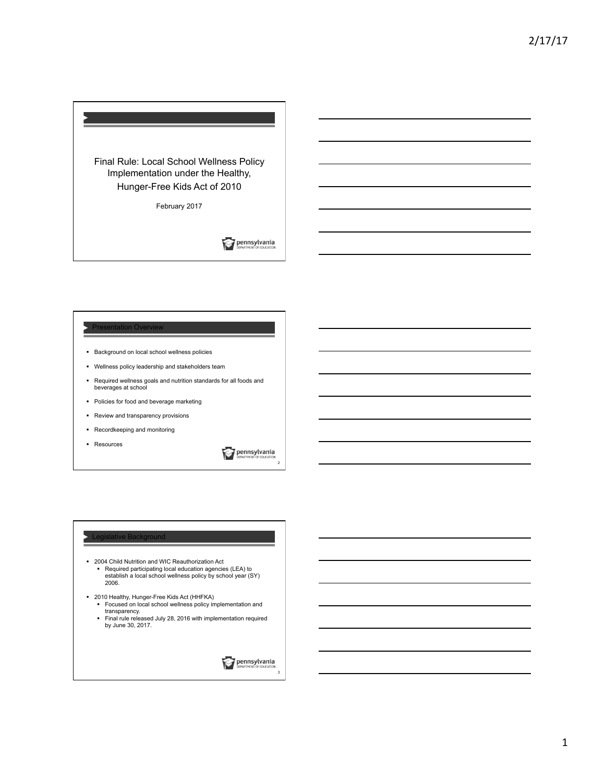

February 2017

**Pennsylvania** 

### Presentation Overview

- § Background on local school wellness policies
- § Wellness policy leadership and stakeholders team
- § Required wellness goals and nutrition standards for all foods and beverages at school
- § Policies for food and beverage marketing
- § Review and transparency provisions
- § Recordkeeping and monitoring
- § Resources

**Dennsylvania** 

 $\overline{2}$ 

#### Legislative Background

- § 2004 Child Nutrition and WIC Reauthorization Act § Required participating local education agencies (LEA) to establish a local school wellness policy by school year (SY) 2006.
- § 2010 Healthy, Hunger-Free Kids Act (HHFKA)
	- § Focused on local school wellness policy implementation and transparency. § Final rule released July 28, 2016 with implementation required
	- by June 30, 2017.

**Dennsylvania**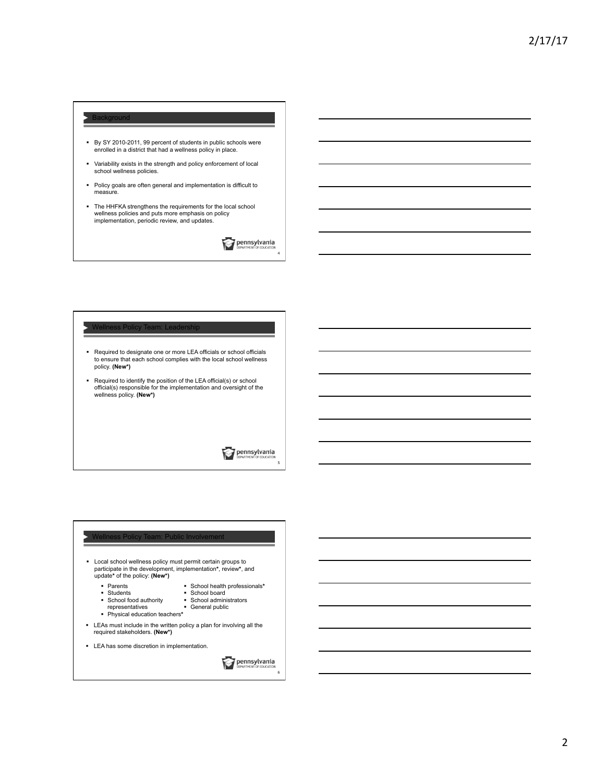# **Background**

- § By SY 2010-2011, 99 percent of students in public schools were enrolled in a district that had a wellness policy in place.
- § Variability exists in the strength and policy enforcement of local school wellness policies.
- § Policy goals are often general and implementation is difficult to measure.
- § The HHFKA strengthens the requirements for the local school wellness policies and puts more emphasis on policy implementation, periodic review, and updates.

**Dennsylvania** 

4

#### Wellness Policy Team: Leadership

- § Required to designate one or more LEA officials or school officials to ensure that each school complies with the local school wellness policy. **(New\*)**
- Required to identify the position of the LEA official(s) or school official(s) responsible for the implementation and oversight of the wellness policy. **(New\*)**

**Dennsylvania** 

5

6

# ess Policy Team: Public Involvemen § Local school wellness policy must permit certain groups to participate in the development, implementation**\***, review**\***, and update**\*** of the policy: **(New\*)** § Parents § School health professionals**\***  ■ Students<br>■ School fo ■ School board<br>■ School administrators School food authority § General public representatives § Physical education teachers**\***  § LEAs must include in the written policy a plan for involving all the required stakeholders. **(New\*)**  § LEA has some discretion in implementation. **Dennsylvania**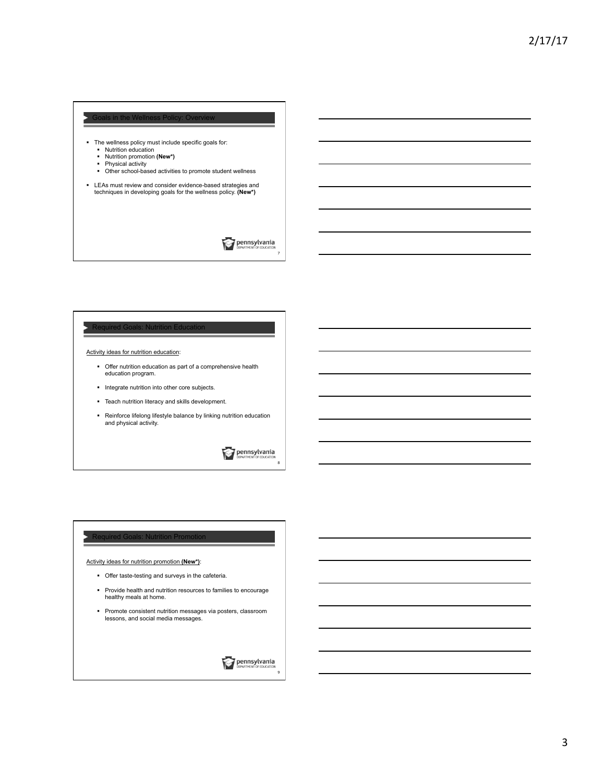# in the Wellne

- The wellness policy must include specific goals for:<br>■ Nutrition education
	- § Nutrition education § Nutrition promotion **(New\*)**
	- § Physical activity
	- § Other school-based activities to promote student wellness

§ LEAs must review and consider evidence-based strategies and techniques in developing goals for the wellness policy. **(New\*)** 

**Dennsylvania** 

7

## **Required Goals: Nutrition Education**

Activity ideas for nutrition education:

- § Offer nutrition education as part of a comprehensive health education program.
- § Integrate nutrition into other core subjects.
- § Teach nutrition literacy and skills development.
- § Reinforce lifelong lifestyle balance by linking nutrition education and physical activity.

**Dennsylvania** 

8

#### **Required Goals: Nutrition Promotion**

Activity ideas for nutrition promotion **(New\*)**:

- § Offer taste-testing and surveys in the cafeteria.
- § Provide health and nutrition resources to families to encourage healthy meals at home.
- § Promote consistent nutrition messages via posters, classroom lessons, and social media messages.

**Dennsylvania**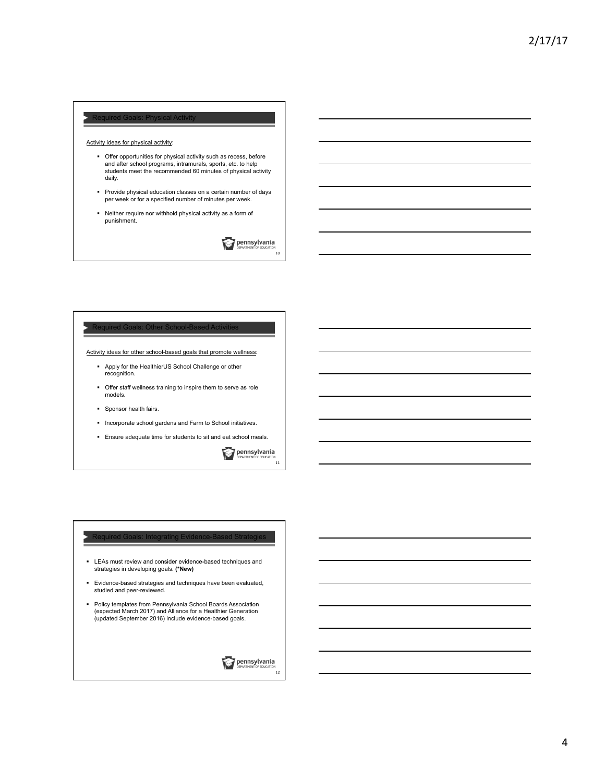# Required Goals: Physical

Activity ideas for physical activity:

- § Offer opportunities for physical activity such as recess, before and after school programs, intramurals, sports, etc. to help students meet the recommended 60 minutes of physical activity daily.
- § Provide physical education classes on a certain number of days per week or for a specified number of minutes per week.
- § Neither require nor withhold physical activity as a form of punishment.

**Dennsylvania** 

10

## Required Goals: Other School-Based Acti

Activity ideas for other school-based goals that promote wellness:

- § Apply for the HealthierUS School Challenge or other recognition.
- § Offer staff wellness training to inspire them to serve as role models.
- § Sponsor health fairs.
- § Incorporate school gardens and Farm to School initiatives.
- § Ensure adequate time for students to sit and eat school meals.

**Dennsylvania** 11

#### Required Goals: Integrating Evidence-Based Strategi

- § LEAs must review and consider evidence-based techniques and strategies in developing goals. **(\*New)**
- § Evidence-based strategies and techniques have been evaluated, studied and peer-reviewed.
- Policy templates from Pennsylvania School Boards Association<br>(expected March 2017) and Alliance for a Healthier Generation<br>(updated September 2016) include evidence-based goals.

**Dennsylvania**  $\frac{1}{12}$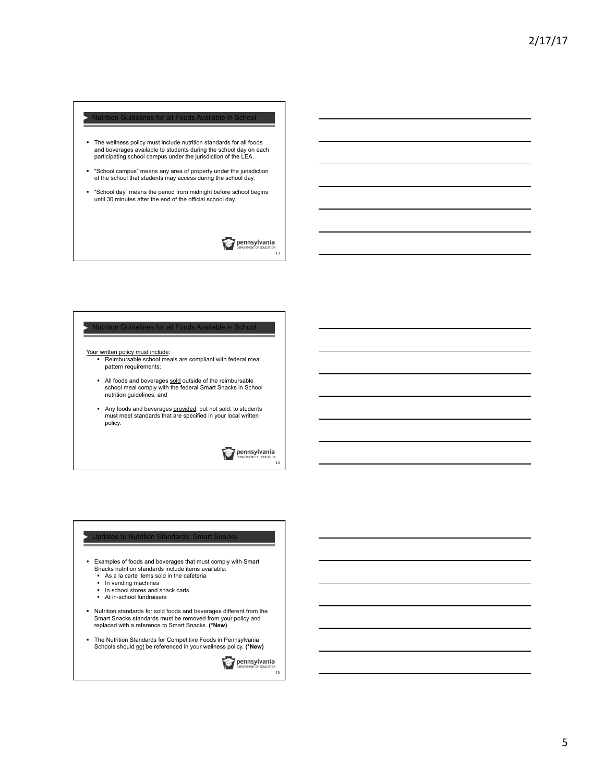# Nutrition Guidelines for all Foods Available in School § The wellness policy must include nutrition standards for all foods and beverages available to students during the school day on each participating school campus under the jurisdiction of the LEA. § "School campus" means any area of property under the jurisdiction of the school that students may access during the school day. § "School day" means the period from midnight before school begins until 30 minutes after the end of the official school day. **Pennsylvania**

#### Nutrition Guidelines for all Foods

- Your written policy must include: § Reimbursable school meals are compliant with federal meal pattern requirements;
	- I All foods and beverages sold outside of the reimbursable<br>school meal comply with the federal Smart Snacks in School nutrition guidelines; and
	- § Any foods and beverages provided, but not sold, to students must meet standards that are specified in your local written policy.

**Dennsylvania** 

14

13

#### Updates to Nutrition Standards: Smart Snack

- § Examples of foods and beverages that must comply with Smart Snacks nutrition standards include items available:
	- As a la carte items sold in the cafeteria
	- § In vending machines
	- In school stores and snack carts § At in-school fundraisers
	-
- § Nutrition standards for sold foods and beverages different from the Smart Snacks standards must be removed from your policy and replaced with a reference to Smart Snacks. **(\*New)**
- The Nutrition Standards for Competitive Foods in Pennsylvania<br>Schools should <u>not</u> be referenced in your wellness policy. (**\*New)**

**Dennsylvania**  $15$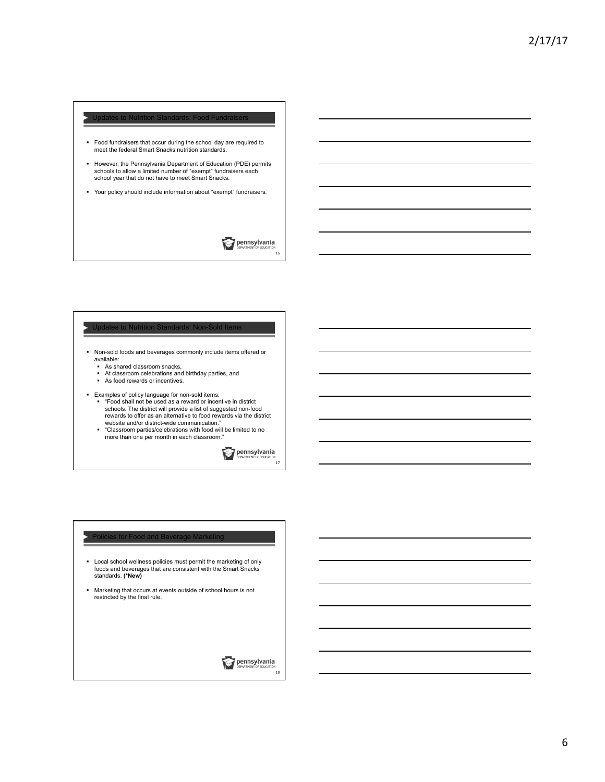# Updates to Nutrition Standards: Food Fundraisers § Food fundraisers that occur during the school day are required to meet the federal Smart Snacks nutrition standards. § However, the Pennsylvania Department of Education (PDE) permits schools to allow a limited number of "exempt" fundraisers each school year that do not have to meet Smart Snacks.

§ Your policy should include information about "exempt" fundraisers.

**Dennsylvania** 16

# Updates to Nutrition Standards: Non-Sold It

- § Non-sold foods and beverages commonly include items offered or available:
	-
	- As shared classroom snacks,<br>■ At classroom celebrations and birthday parties, and
	- As food rewards or incentives.
- 
- Examples of policy language for non-sold items:<br>■ "Food shall not be used as a reward or incentive in district schools. The district will provide a list of suggested non-food rewards to offer as an alternative to food rewards via the district website and/or district-wide communication."
	- § "Classroom parties/celebrations with food will be limited to no more than one per month in each classroom."

**Dennsylvania** 

17

#### **Policies for Food and Beverage Marketing**

- § Local school wellness policies must permit the marketing of only foods and beverages that are consistent with the Smart Snacks standards. **(\*New)**
- § Marketing that occurs at events outside of school hours is not restricted by the final rule.

**Dennsylvania**  $18$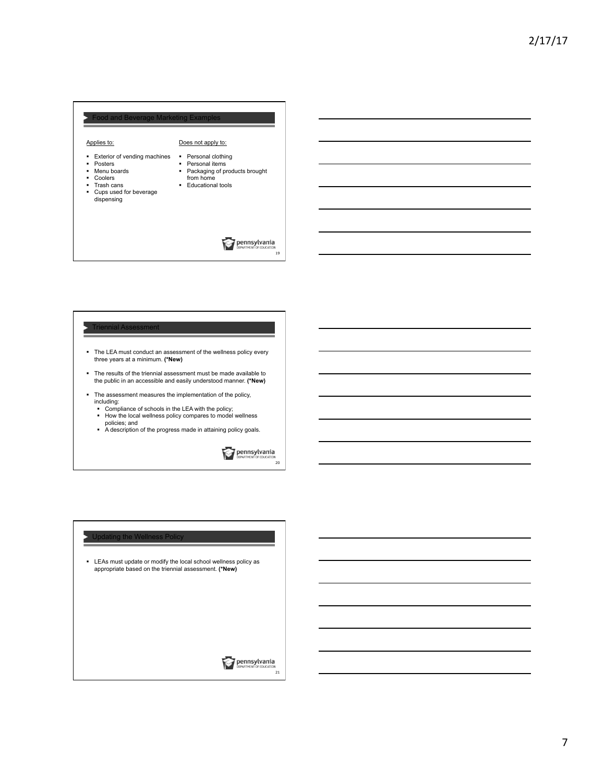# Food and Beverage Marketing Example о Applies to: Does not apply to: ■ Exterior of vending machines § Personal clothing § Posters § Personal items ■ Menu boards<br>■ Coolers § Packaging of products brought from home ■ Trash cans ■ Educational tools § Cups used for beverage dispensing **Dennsylvania**

## Triennial Assessment

- § The LEA must conduct an assessment of the wellness policy every three years at a minimum. **(\*New)**
- § The results of the triennial assessment must be made available to the public in an accessible and easily understood manner. **(\*New)**
- § The assessment measures the implementation of the policy, including:
	- Compliance of schools in the LEA with the policy;
	- § How the local wellness policy compares to model wellness policies; and § A description of the progress made in attaining policy goals.
	-

**Dennsylvania** 

20

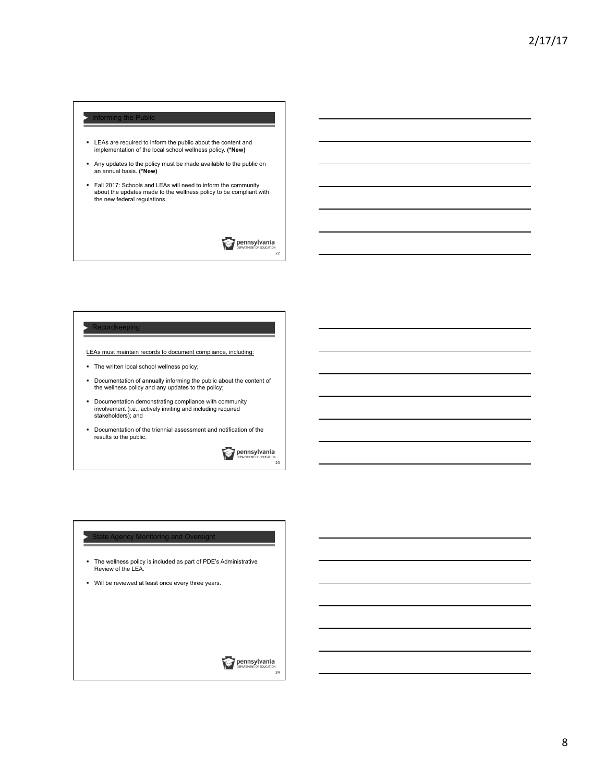## Informing the Public

- § LEAs are required to inform the public about the content and implementation of the local school wellness policy. **(\*New)**
- § Any updates to the policy must be made available to the public on an annual basis. **(\*New)**
- § Fall 2017: Schools and LEAs will need to inform the community about the updates made to the wellness policy to be compliant with the new federal regulations.

**Dennsylvania** 22

#### Recordkeeping

LEAs must maintain records to document compliance, including:

- § The written local school wellness policy;
- § Documentation of annually informing the public about the content of the wellness policy and any updates to the policy;
- § Documentation demonstrating compliance with community involvement (i.e., actively inviting and including required stakeholders); and
- § Documentation of the triennial assessment and notification of the results to the public.

**Pennsylvania** 

23

#### **State Agency Monitoring and Oversight**

- § The wellness policy is included as part of PDE's Administrative Review of the LEA.
- § Will be reviewed at least once every three years.

**Dennsylvania**  $\frac{1}{24}$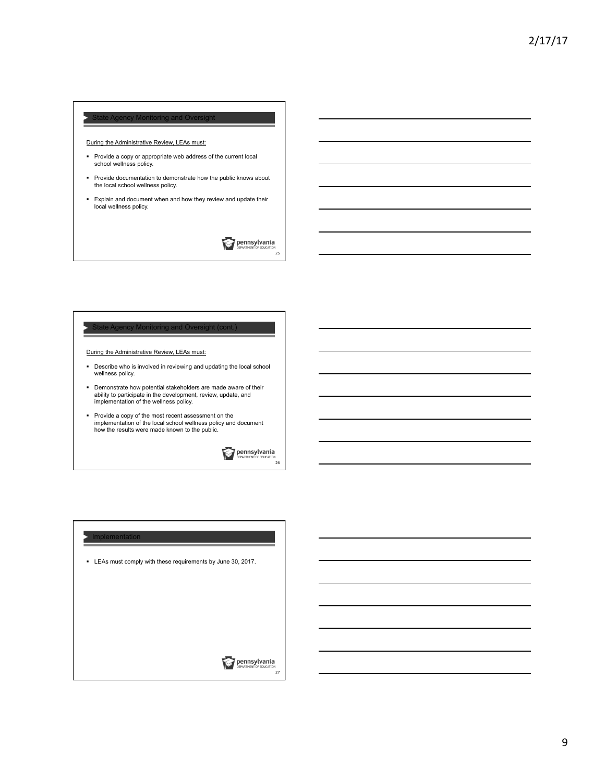## tate Agency Monitoring and  $\cap$

## During the Administrative Review, LEAs must:

- § Provide a copy or appropriate web address of the current local school wellness policy.
- § Provide documentation to demonstrate how the public knows about the local school wellness policy.
- § Explain and document when and how they review and update their local wellness policy.

**Dennsylvania** 25

# State Agency Monitoring and Oversight (cont.)

During the Administrative Review, LEAs must:

- § Describe who is involved in reviewing and updating the local school wellness policy.
- § Demonstrate how potential stakeholders are made aware of their ability to participate in the development, review, update, and implementation of the wellness policy.
- § Provide a copy of the most recent assessment on the implementation of the local school wellness policy and document how the results were made known to the public.

**Dennsylvania** 

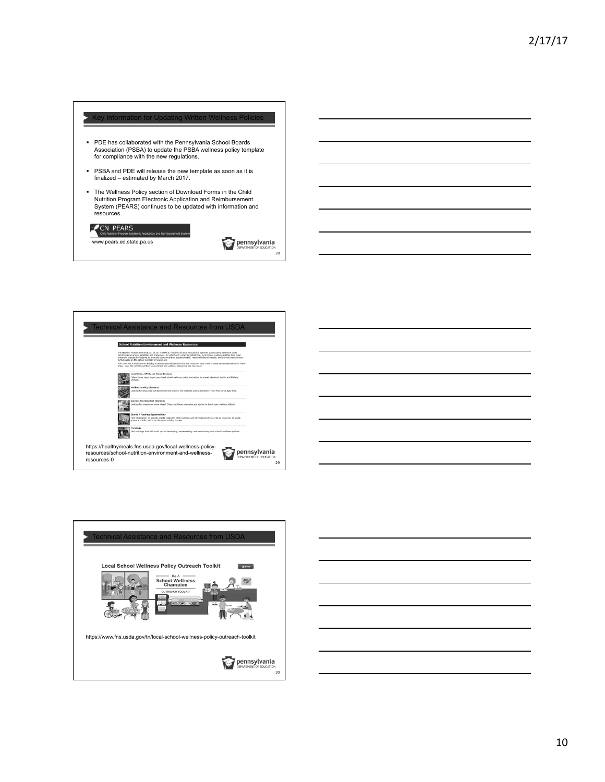